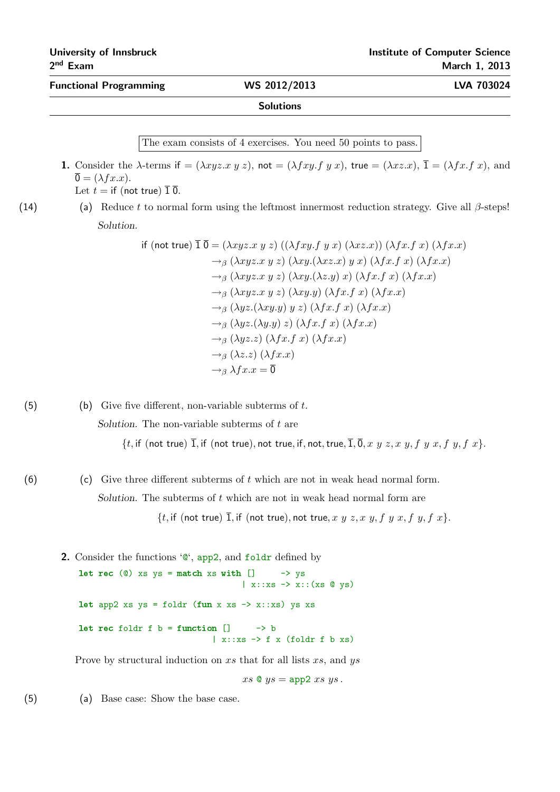Functional Programming WS 2012/2013 LVA 703024

The exam consists of 4 exercises. You need 50 points to pass.

- **1.** Consider the  $\lambda$ -terms if  $= (\lambda xyz.x \ y \ z)$ , not  $= (\lambda fxy.f \ y \ x)$ , true  $= (\lambda xzx)$ ,  $\overline{1} = (\lambda fx.f \ x)$ , and  $\overline{0} = (\lambda f x.x).$ Let  $t =$  if (not true)  $\overline{1} \, \overline{0}$ .
- (14) (a) Reduce t to normal form using the leftmost innermost reduction strategy. Give all  $\beta$ -steps! Solution.

if (not true) 
$$
\overline{1 \ 0} = (\lambda xyz.x y z) ((\lambda fxy.f y x) (\lambda xz.x)) (\lambda fx.f x) (\lambda fx.x)
$$
  
\n $\rightarrow_{\beta} (\lambda xyz.x y z) (\lambda xy.(\lambda xz.x) y x) (\lambda fx.f x) (\lambda fx.x)$   
\n $\rightarrow_{\beta} (\lambda xyz.x y z) (\lambda xy.(\lambda z.y) x) (\lambda fx.f x) (\lambda fx.x)$   
\n $\rightarrow_{\beta} (\lambda xyz.x y z) (\lambda xy.y) (\lambda fx.f x) (\lambda fx.x)$   
\n $\rightarrow_{\beta} (\lambda yz.(\lambda xy.y) y z) (\lambda fx.f x) (\lambda fx.x)$   
\n $\rightarrow_{\beta} (\lambda yz.(\lambda y.y) z) (\lambda fx.f x) (\lambda fx.x)$   
\n $\rightarrow_{\beta} (\lambda yz. z) (\lambda fx.f x) (\lambda fx.x)$   
\n $\rightarrow_{\beta} (\lambda z.z) (\lambda fx.x)$   
\n $\rightarrow_{\beta} (\lambda z.z) (\lambda fx.x)$   
\n $\rightarrow_{\beta} \lambda fx.x = \overline{0}$ 

(5) (b) Give five different, non-variable subterms of  $t$ . Solution. The non-variable subterms of  $t$  are  $\{t, \text{if (not true)} \ \overline{1}, \text{if (not true)}, \text{not true}, \text{if, not, true}, \overline{1}, \overline{0}, x, y, z, x, y, f, y, x, f, x\}.$ 

(6) (c) Give three different subterms of  $t$  which are not in weak head normal form. Solution. The subterms of  $t$  which are not in weak head normal form are

 $\{t, \text{if (not true)} \ \overline{1}, \text{if (not true)}, \text{not true}, x \ y \ z, x \ y, f \ y \ x, f \ y, f \ x\}.$ 

2. Consider the functions  $\mathcal{C}$ , app2, and foldr defined by let rec  $(0)$  xs ys = match xs with  $\Box$  -> ys  $\vert$  x::xs  $\rightarrow$  x:: (xs  $\circ$  ys) let app2 xs  $ys = foldr$  (fun x xs -> x::xs) ys xs let rec foldr f  $b = function$   $] \longrightarrow b$  $\vert$  x::xs  $\rightarrow$  f x (foldr f b xs)

Prove by structural induction on xs that for all lists xs, and ys

 $xs \otimes ys = app2 xs ys$ .

(5) (a) Base case: Show the base case.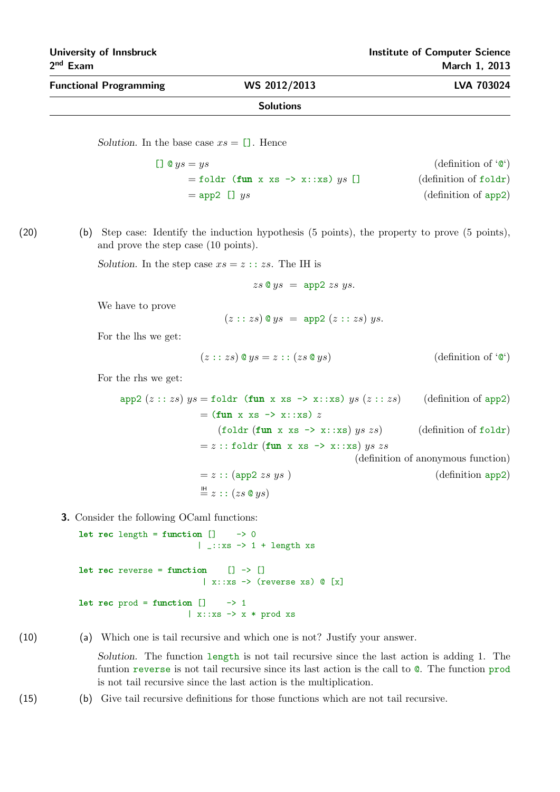| <b>Functional Programming</b> | WS 2012/2013     | <b>LVA 703024</b> |
|-------------------------------|------------------|-------------------|
|                               | <b>Solutions</b> |                   |

Solution. In the base case  $xs = \Box$ . Hence

 $[$ ]  $\ˆ ys = ys$  (definition of ' $\ˆ$ ')  $=$  foldr (fun x xs -> x::xs) ys [] (definition of foldr)  $=$  app2  $\Box$  ys (definition of app2)

(20) (b) Step case: Identify the induction hypothesis (5 points), the property to prove (5 points), and prove the step case (10 points).

Solution. In the step case  $xs = z :: zs$ . The IH is

$$
zs \otimes ys = app2 \; zs \; ys.
$$

We have to prove

$$
(z::zs)
$$
 @  $ys = app2$   $(z::zs)$   $ys$ .

For the lhs we get:

$$
(z::zs) \circ ys = z::(zs \circ ys) \qquad \qquad \text{(definition of '0')}
$$

For the rhs we get:

app2  $(z::zs)$   $ys =$  foldr (fun x xs -> x::xs)  $ys (z::zs)$  (definition of app2)  $=$  (fun x xs  $\rightarrow$  x::xs) z (foldr (fun x xs  $\rightarrow$  x::xs) us zs) (definition of foldr)  $= z$  :: foldr (fun x xs  $\rightarrow$  x::xs) ys zs (definition of anonymous function)  $= z :: (app2 \; z \; s \; ys)$  (definition app2)  $\stackrel{\text{IH}}{=} z :: (zs \otimes ys)$ 

3. Consider the following OCaml functions:

```
let rec length = function [] \longrightarrow 0| _::xs \rightarrow 1 + length xs
let rec reverse = function [] \rightarrow []\vert x::xs \rightarrow (reverse xs) \mathbb{C} [x]
let rec prod = function ] \longrightarrow 1\vert x:: xs \rightarrow x * prod xs
```
(10) (a) Which one is tail recursive and which one is not? Justify your answer.

Solution. The function length is not tail recursive since the last action is adding 1. The funtion reverse is not tail recursive since its last action is the call to @. The function prod is not tail recursive since the last action is the multiplication.

(15) (b) Give tail recursive definitions for those functions which are not tail recursive.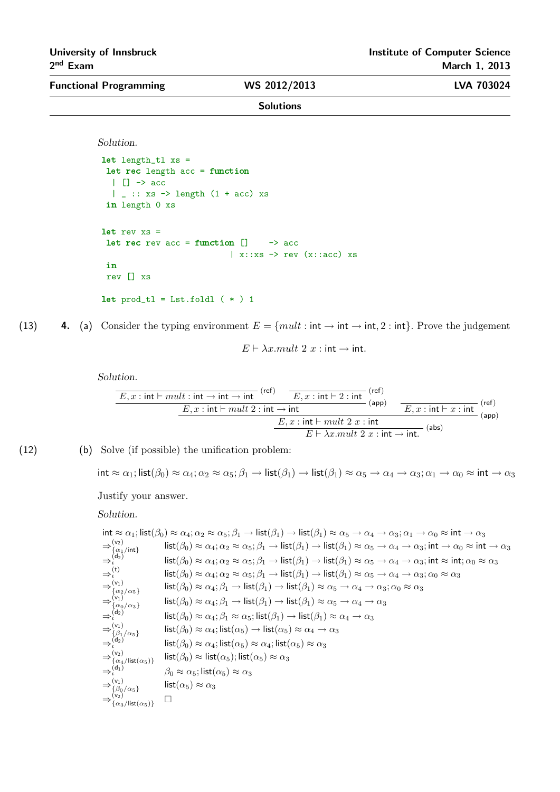Functional Programming WS 2012/2013 LVA 703024

Solutions

Solution.

```
let length_tl xs =
 let rec length acc = function
 | | \rightarrow acc
  | \Box :: xs \rightarrow length (1 + acc) xs
 in length 0 xs
let rev xs =let rec rev acc = function [] \rightarrow acc
                              \vert x::xs \rightarrow rev (x::acc) xs
 in
 rev [] xs
let prod_t = List.float_t (*) 1
```
(13) 4. (a) Consider the typing environment  $E = \{mult : int \rightarrow int \rightarrow int, 2 : int\}$ . Prove the judgement

 $E \vdash \lambda x . mult 2 x : int \rightarrow int.$ 

Solution.

$$
\begin{array}{c|c|c|c|c|c} \hline E, x: \text{int} \vdash mult : \text{int} \to \text{int} \to \text{int} & \text{(ref)}\\ \hline E, x: \text{int} \vdash mult 2: \text{int} \to \text{int} & \text{(app)}\\ \hline E, x: \text{int} \vdash mult 2: \text{int} \to \text{int} & \text{(app)}\\ \hline E \vdash \lambda x. mult 2 x: \text{int} \to \text{int} & \text{(abs)}\\ \hline \end{array}
$$

(12) (b) Solve (if possible) the unification problem:

int  $\approx \alpha_1$ ; list $(\beta_0) \approx \alpha_4$ ;  $\alpha_2 \approx \alpha_5$ ;  $\beta_1 \rightarrow \text{list}(\beta_1) \rightarrow \text{list}(\beta_1) \approx \alpha_5 \rightarrow \alpha_4 \rightarrow \alpha_3$ ;  $\alpha_1 \rightarrow \alpha_0 \approx \text{int} \rightarrow \alpha_3$ 

Justify your answer.

Solution.

$$
\begin{array}{ll}\n\text{int} \approx \alpha_1; \text{list}(\beta_0) \approx \alpha_4; \alpha_2 \approx \alpha_5; \beta_1 \rightarrow \text{list}(\beta_1) \rightarrow \text{list}(\beta_1) \approx \alpha_5 \rightarrow \alpha_4 \rightarrow \alpha_3; \alpha_1 \rightarrow \alpha_0 \approx \text{int} \rightarrow \alpha_3 \\
\Rightarrow {\alpha_1 \choose \alpha_1/\text{int}} & \text{list}(\beta_0) \approx \alpha_4; \alpha_2 \approx \alpha_5; \beta_1 \rightarrow \text{list}(\beta_1) \rightarrow \text{list}(\beta_1) \approx \alpha_5 \rightarrow \alpha_4 \rightarrow \alpha_3; \text{int} \rightarrow \alpha_0 \approx \text{int} \rightarrow \alpha_3 \\
\Rightarrow {\alpha_2 \choose \alpha_2} & \text{list}(\beta_0) \approx \alpha_4; \alpha_2 \approx \alpha_5; \beta_1 \rightarrow \text{list}(\beta_1) \rightarrow \text{list}(\beta_1) \approx \alpha_5 \rightarrow \alpha_4 \rightarrow \alpha_3; \text{int} \approx \text{int} \rightarrow \alpha_2 \approx \alpha_5 \\
\Rightarrow {\alpha_1 \choose \alpha_1} & \text{list}(\beta_0) \approx \alpha_4; \alpha_2 \approx \alpha_5; \beta_1 \rightarrow \text{list}(\beta_1) \rightarrow \text{list}(\beta_1) \approx \alpha_5 \rightarrow \alpha_4 \rightarrow \alpha_3; \alpha_0 \approx \alpha_3 \\
\Rightarrow {\alpha_1 \choose \alpha_1} & \text{list}(\beta_0) \approx \alpha_4; \beta_1 \rightarrow \text{list}(\beta_1) \rightarrow \text{list}(\beta_1) \approx \alpha_5 \rightarrow \alpha_4 \rightarrow \alpha_3; \alpha_0 \approx \alpha_3 \\
\Rightarrow {\alpha_2 \choose \alpha_1} & \text{list}(\beta_0) \approx \alpha_4; \beta_1 \rightarrow \text{list}(\beta_1) \rightarrow \text{list}(\beta_1) \approx \alpha_5 \rightarrow \alpha_4 \rightarrow \alpha_3 \\
\Rightarrow {\alpha_2 \choose \alpha_2} & \text{list}(\beta_0) \approx \alpha_4; \beta_1 \approx \alpha_5; \text{list}(\beta_1) \rightarrow \text{list}(\beta_1) \approx \alpha_4 \rightarrow \alpha_3 \\
\Rightarrow {\alpha_1 \choose \alpha_2} & \text{list}(\beta_0) \approx \alpha_4; \text{list}(\alpha_5) \rightarrow \text{list}(\alpha_
$$